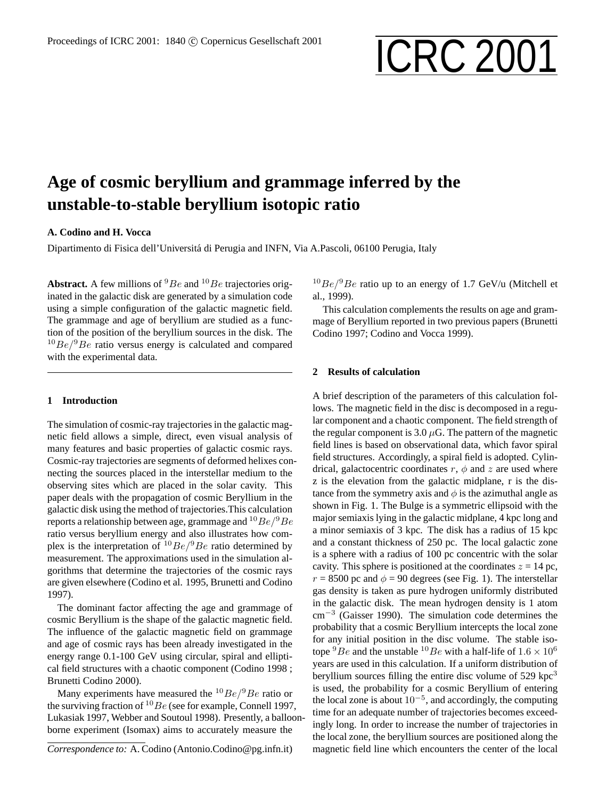# Proceedings of ICRC 2001: 1840 © Copernicus Gesellschaft 2001 **ICRC 2001**

# **Age of cosmic beryllium and grammage inferred by the unstable-to-stable beryllium isotopic ratio**

# **A. Codino and H. Vocca**

Dipartimento di Fisica dell'Universita di Perugia and INFN, Via A.Pascoli, 06100 Perugia, Italy ´

**Abstract.** A few millions of  ${}^{9}Be$  and  ${}^{10}Be$  trajectories originated in the galactic disk are generated by a simulation code using a simple configuration of the galactic magnetic field. The grammage and age of beryllium are studied as a function of the position of the beryllium sources in the disk. The  $10Be/9Be$  ratio versus energy is calculated and compared with the experimental data.

# **1 Introduction**

The simulation of cosmic-ray trajectories in the galactic magnetic field allows a simple, direct, even visual analysis of many features and basic properties of galactic cosmic rays. Cosmic-ray trajectories are segments of deformed helixes connecting the sources placed in the interstellar medium to the observing sites which are placed in the solar cavity. This paper deals with the propagation of cosmic Beryllium in the galactic disk using the method of trajectories.This calculation reports a relationship between age, grammage and  $10Be/9Be$ ratio versus beryllium energy and also illustrates how complex is the interpretation of  $^{10}Be/^{9}Be$  ratio determined by measurement. The approximations used in the simulation algorithms that determine the trajectories of the cosmic rays are given elsewhere (Codino et al. 1995, Brunetti and Codino 1997).

The dominant factor affecting the age and grammage of cosmic Beryllium is the shape of the galactic magnetic field. The influence of the galactic magnetic field on grammage and age of cosmic rays has been already investigated in the energy range 0.1-100 GeV using circular, spiral and elliptical field structures with a chaotic component (Codino 1998 ; Brunetti Codino 2000).

Many experiments have measured the  $^{10}Be/^{9}Be$  ratio or the surviving fraction of  ${}^{10}Be$  (see for example, Connell 1997, Lukasiak 1997, Webber and Soutoul 1998). Presently, a balloonborne experiment (Isomax) aims to accurately measure the

 $10Be/9Be$  ratio up to an energy of 1.7 GeV/u (Mitchell et al., 1999).

This calculation complements the results on age and grammage of Beryllium reported in two previous papers (Brunetti Codino 1997; Codino and Vocca 1999).

### **2 Results of calculation**

A brief description of the parameters of this calculation follows. The magnetic field in the disc is decomposed in a regular component and a chaotic component. The field strength of the regular component is 3.0  $\mu$ G. The pattern of the magnetic field lines is based on observational data, which favor spiral field structures. Accordingly, a spiral field is adopted. Cylindrical, galactocentric coordinates  $r$ ,  $\phi$  and  $z$  are used where z is the elevation from the galactic midplane, r is the distance from the symmetry axis and  $\phi$  is the azimuthal angle as shown in Fig. 1. The Bulge is a symmetric ellipsoid with the major semiaxis lying in the galactic midplane, 4 kpc long and a minor semiaxis of 3 kpc. The disk has a radius of 15 kpc and a constant thickness of 250 pc. The local galactic zone is a sphere with a radius of 100 pc concentric with the solar cavity. This sphere is positioned at the coordinates  $z = 14$  pc,  $r = 8500$  pc and  $\phi = 90$  degrees (see Fig. 1). The interstellar gas density is taken as pure hydrogen uniformly distributed in the galactic disk. The mean hydrogen density is 1 atom cm<sup>−</sup><sup>3</sup> (Gaisser 1990). The simulation code determines the probability that a cosmic Beryllium intercepts the local zone for any initial position in the disc volume. The stable isotope  ${}^{9}Be$  and the unstable  ${}^{10}Be$  with a half-life of  $1.6 \times 10^6$ years are used in this calculation. If a uniform distribution of beryllium sources filling the entire disc volume of  $529$  kpc<sup>3</sup> is used, the probability for a cosmic Beryllium of entering the local zone is about  $10^{-5}$ , and accordingly, the computing time for an adequate number of trajectories becomes exceedingly long. In order to increase the number of trajectories in the local zone, the beryllium sources are positioned along the magnetic field line which encounters the center of the local

*Correspondence to:* A. Codino (Antonio.Codino@pg.infn.it)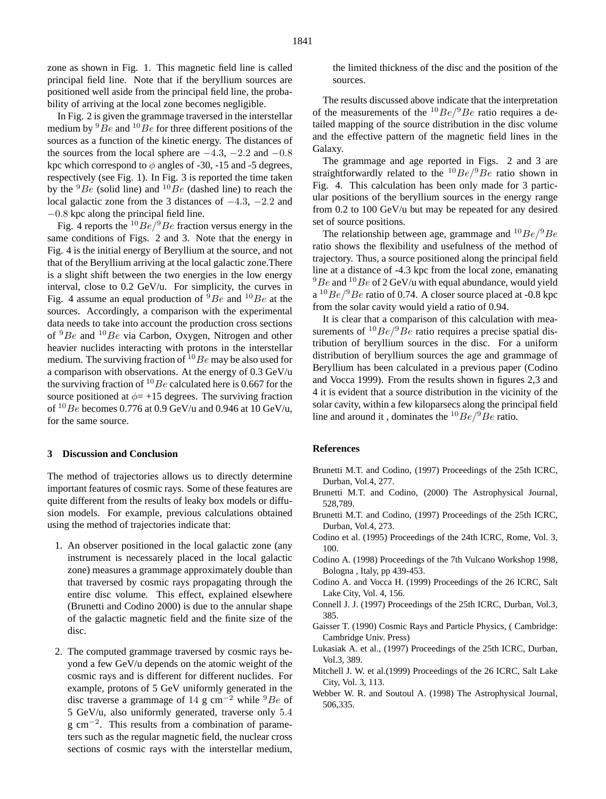zone as shown in Fig. 1. This magnetic field line is called principal field line. Note that if the beryllium sources are positioned well aside from the principal field line, the probability of arriving at the local zone becomes negligible.

In Fig. 2 is given the grammage traversed in the interstellar medium by  ${}^{9}Be$  and  ${}^{10}Be$  for three different positions of the sources as a function of the kinetic energy. The distances of the sources from the local sphere are  $-4.3$ ,  $-2.2$  and  $-0.8$ kpc which correspond to  $\phi$  angles of -30, -15 and -5 degrees, respectively (see Fig. 1). In Fig. 3 is reported the time taken by the  ${}^{9}Be$  (solid line) and  ${}^{10}Be$  (dashed line) to reach the local galactic zone from the 3 distances of −4.3, −2.2 and −0.8 kpc along the principal field line.

Fig. 4 reports the  $^{10}Be/^{9}Be$  fraction versus energy in the same conditions of Figs. 2 and 3. Note that the energy in Fig. 4 is the initial energy of Beryllium at the source, and not that of the Beryllium arriving at the local galactic zone.There is a slight shift between the two energies in the low energy interval, close to 0.2 GeV/u. For simplicity, the curves in Fig. 4 assume an equal production of  ${}^{9}Be$  and  ${}^{10}Be$  at the sources. Accordingly, a comparison with the experimental data needs to take into account the production cross sections of  ${}^{9}Be$  and  ${}^{10}Be$  via Carbon, Oxygen, Nitrogen and other heavier nuclides interacting with protons in the interstellar medium. The surviving fraction of  $^{10}Be$  may be also used for a comparison with observations. At the energy of 0.3 GeV/u the surviving fraction of  $^{10}Be$  calculated here is 0.667 for the source positioned at  $\phi$  = +15 degrees. The surviving fraction of  $^{10}Be$  becomes 0.776 at 0.9 GeV/u and 0.946 at 10 GeV/u, for the same source.

#### **3 Discussion and Conclusion**

The method of trajectories allows us to directly determine important features of cosmic rays. Some of these features are quite different from the results of leaky box models or diffusion models. For example, previous calculations obtained using the method of trajectories indicate that:

- 1. An observer positioned in the local galactic zone (any instrument is necessarely placed in the local galactic zone) measures a grammage approximately double than that traversed by cosmic rays propagating through the entire disc volume. This effect, explained elsewhere (Brunetti and Codino 2000) is due to the annular shape of the galactic magnetic field and the finite size of the disc.
- 2. The computed grammage traversed by cosmic rays beyond a few GeV/u depends on the atomic weight of the cosmic rays and is different for different nuclides. For example, protons of 5 GeV uniformly generated in the disc traverse a grammage of 14 g cm<sup>-2</sup> while <sup>9</sup>Be of 5 GeV/u, also uniformly generated, traverse only 5.4 g cm<sup>-2</sup>. This results from a combination of parameters such as the regular magnetic field, the nuclear cross sections of cosmic rays with the interstellar medium,

the limited thickness of the disc and the position of the sources.

The results discussed above indicate that the interpretation of the measurements of the  $^{10}Be/^{9}Be$  ratio requires a detailed mapping of the source distribution in the disc volume and the effective pattern of the magnetic field lines in the Galaxy.

The grammage and age reported in Figs. 2 and 3 are straightforwardly related to the  $^{10}Be/^{9}Be$  ratio shown in Fig. 4. This calculation has been only made for 3 particular positions of the beryllium sources in the energy range from 0.2 to 100 GeV/u but may be repeated for any desired set of source positions.

The relationship between age, grammage and  ${}^{10}Be/{}^{9}Be$ ratio shows the flexibility and usefulness of the method of trajectory. Thus, a source positioned along the principal field line at a distance of -4.3 kpc from the local zone, emanating  $9Be$  and  $10Be$  of 2 GeV/u with equal abundance, would yield  $a^{10}Be/9Be$  ratio of 0.74. A closer source placed at -0.8 kpc from the solar cavity would yield a ratio of 0.94.

It is clear that a comparison of this calculation with measurements of  $10Be/9Be$  ratio requires a precise spatial distribution of beryllium sources in the disc. For a uniform distribution of beryllium sources the age and grammage of Beryllium has been calculated in a previous paper (Codino and Vocca 1999). From the results shown in figures 2,3 and 4 it is evident that a source distribution in the vicinity of the solar cavity, within a few kiloparsecs along the principal field line and around it, dominates the  $^{10}Be/^{9}Be$  ratio.

#### **References**

- Brunetti M.T. and Codino, (1997) Proceedings of the 25th ICRC, Durban, Vol.4, 277.
- Brunetti M.T. and Codino, (2000) The Astrophysical Journal, 528,789.
- Brunetti M.T. and Codino, (1997) Proceedings of the 25th ICRC, Durban, Vol.4, 273.
- Codino et al. (1995) Proceedings of the 24th ICRC, Rome, Vol. 3, 100.
- Codino A. (1998) Proceedings of the 7th Vulcano Workshop 1998, Bologna , Italy, pp 439-453.
- Codino A. and Vocca H. (1999) Proceedings of the 26 ICRC, Salt Lake City, Vol. 4, 156.
- Connell J. J. (1997) Proceedings of the 25th ICRC, Durban, Vol.3, 385.
- Gaisser T. (1990) Cosmic Rays and Particle Physics, ( Cambridge: Cambridge Univ. Press)
- Lukasiak A. et al., (1997) Proceedings of the 25th ICRC, Durban, Vol.3, 389.
- Mitchell J. W. et al.(1999) Proceedings of the 26 ICRC, Salt Lake City, Vol. 3, 113.
- Webber W. R. and Soutoul A. (1998) The Astrophysical Journal, 506,335.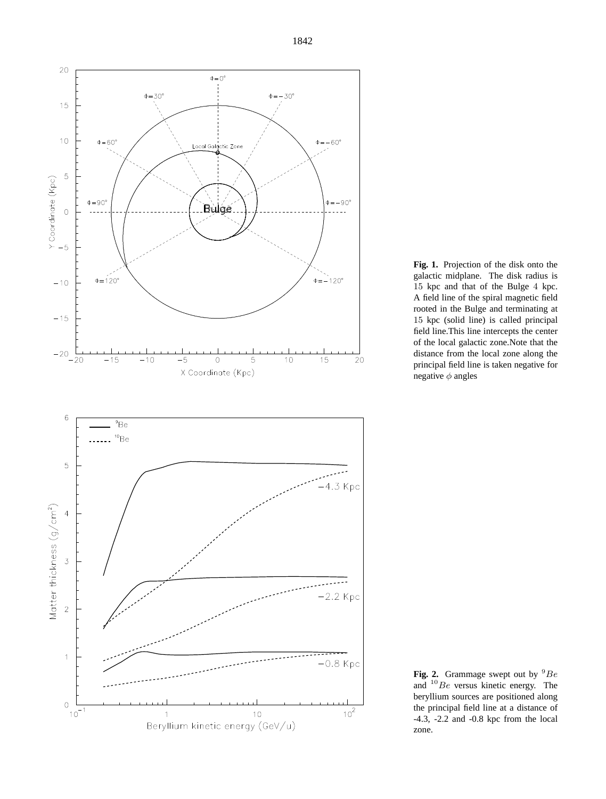

**Fig. 1.** Projection of the disk onto the galactic midplane. The disk radius is 15 kpc and that of the Bulge 4 kpc. A field line of the spiral magnetic field rooted in the Bulge and terminating at 15 kpc (solid line) is called principal field line.This line intercepts the center of the local galactic zone.Note that the distance from the local zone along the principal field line is taken negative for negative  $\phi$  angles

**Fig. 2.** Grammage swept out by  ${}^{9}Be$ and  $^{10}Be$  versus kinetic energy. The beryllium sources are positioned along the principal field line at a distance of -4.3, -2.2 and -0.8 kpc from the local zone.